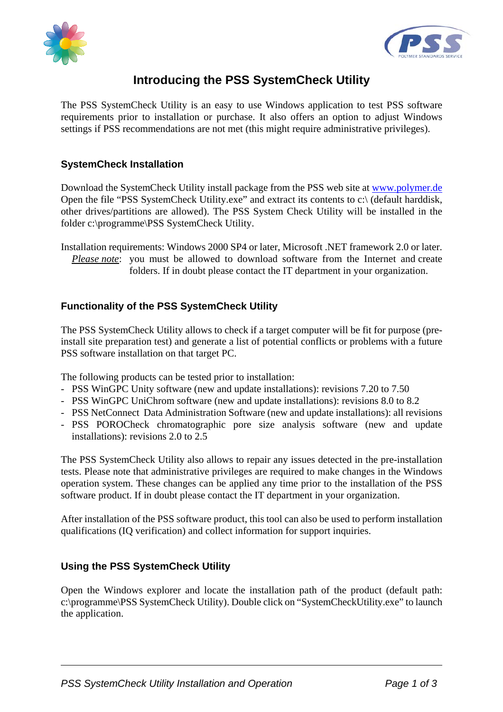



## **Introducing the PSS SystemCheck Utility**

The PSS SystemCheck Utility is an easy to use Windows application to test PSS software requirements prior to installation or purchase. It also offers an option to adjust Windows settings if PSS recommendations are not met (this might require administrative privileges).

## **SystemCheck Installation**

Download the SystemCheck Utility install package from the PSS web site at www.polymer.de Open the file "PSS SystemCheck Utility.exe" and extract its contents to c:\ (default harddisk, other drives/partitions are allowed). The PSS System Check Utility will be installed in the folder c:\programme\PSS SystemCheck Utility.

Installation requirements: Windows 2000 SP4 or later, Microsoft .NET framework 2.0 or later. *Please note*: you must be allowed to download software from the Internet and create folders. If in doubt please contact the IT department in your organization.

## **Functionality of the PSS SystemCheck Utility**

The PSS SystemCheck Utility allows to check if a target computer will be fit for purpose (preinstall site preparation test) and generate a list of potential conflicts or problems with a future PSS software installation on that target PC.

The following products can be tested prior to installation:

- PSS WinGPC Unity software (new and update installations): revisions 7.20 to 7.50
- PSS WinGPC UniChrom software (new and update installations): revisions 8.0 to 8.2
- PSS NetConnect Data Administration Software (new and update installations): all revisions
- PSS POROCheck chromatographic pore size analysis software (new and update installations): revisions 2.0 to 2.5

The PSS SystemCheck Utility also allows to repair any issues detected in the pre-installation tests. Please note that administrative privileges are required to make changes in the Windows operation system. These changes can be applied any time prior to the installation of the PSS software product. If in doubt please contact the IT department in your organization.

After installation of the PSS software product, this tool can also be used to perform installation qualifications (IQ verification) and collect information for support inquiries.

## **Using the PSS SystemCheck Utility**

Open the Windows explorer and locate the installation path of the product (default path: c:\programme\PSS SystemCheck Utility). Double click on "SystemCheckUtility.exe" to launch the application.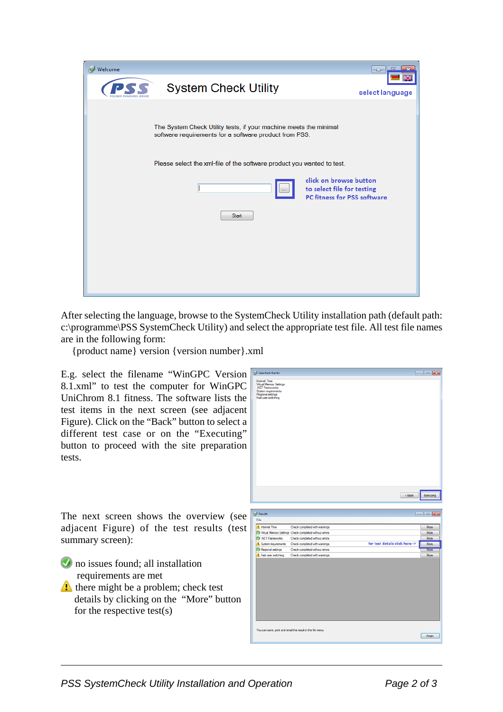| <b>Welcome</b>                                                                                                              | l ol<br>-52<br>- 1                                                                         |  |
|-----------------------------------------------------------------------------------------------------------------------------|--------------------------------------------------------------------------------------------|--|
| <b>System Check Utility</b>                                                                                                 | select language                                                                            |  |
| The System Check Utility tests, if your machine meets the minimal<br>software requirements for a software product from PSS. |                                                                                            |  |
| Please select the xml-file of the software product you wanted to test.                                                      |                                                                                            |  |
| $\cdots$                                                                                                                    | click on browse button<br>to select file for testing<br><b>PC fitness for PSS software</b> |  |
| <b>Start</b>                                                                                                                |                                                                                            |  |
|                                                                                                                             |                                                                                            |  |
|                                                                                                                             |                                                                                            |  |
|                                                                                                                             |                                                                                            |  |

After selecting the language, browse to the SystemCheck Utility installation path (default path: c:\programme\PSS SystemCheck Utility) and select the appropriate test file. All test file names are in the following form:

{product name} version {version number}.xml

E.g. select the filename "WinGPC Version 8.1.xml" to test the computer for WinGPC UniChrom 8.1 fitness. The software lists the test items in the next screen (see adjacent Figure). Click on the "Back" button to select a different test case or on the "Executing" button to proceed with the site preparation tests.



The next screen shows the overview (see adjacent Figure) of the test results (test summary screen):

- **O** no issues found; all installation requirements are met
- there might be a problem; check test details by clicking on the "More" button for the respective test(s)

Finish